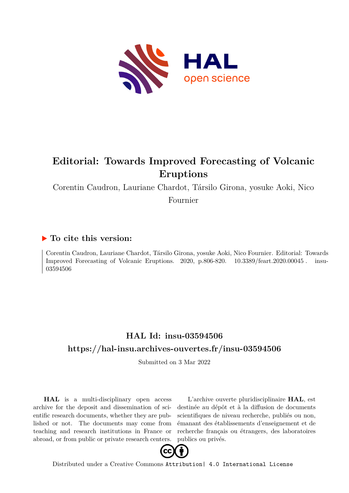

# **Editorial: Towards Improved Forecasting of Volcanic Eruptions**

Corentin Caudron, Lauriane Chardot, Társilo Girona, yosuke Aoki, Nico

Fournier

## **To cite this version:**

Corentin Caudron, Lauriane Chardot, Társilo Girona, yosuke Aoki, Nico Fournier. Editorial: Towards Improved Forecasting of Volcanic Eruptions.  $2020$ , p.806-820.  $10.3389$ /feart.2020.00045. insu-03594506

# **HAL Id: insu-03594506 <https://hal-insu.archives-ouvertes.fr/insu-03594506>**

Submitted on 3 Mar 2022

**HAL** is a multi-disciplinary open access archive for the deposit and dissemination of scientific research documents, whether they are published or not. The documents may come from teaching and research institutions in France or abroad, or from public or private research centers.

L'archive ouverte pluridisciplinaire **HAL**, est destinée au dépôt et à la diffusion de documents scientifiques de niveau recherche, publiés ou non, émanant des établissements d'enseignement et de recherche français ou étrangers, des laboratoires publics ou privés.



Distributed under a Creative Commons [Attribution| 4.0 International License](http://creativecommons.org/licenses/by/4.0/)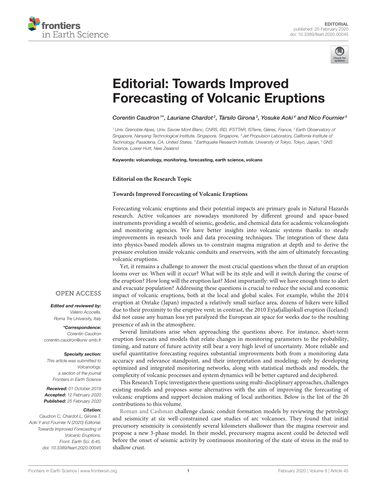



# Editorial: Towards Improved [Forecasting of Volcanic Eruptions](https://www.frontiersin.org/articles/10.3389/feart.2020.00045/full)

[Corentin Caudron](http://loop.frontiersin.org/people/432223/overview)<sup>1\*</sup>, [Lauriane Chardot](http://loop.frontiersin.org/people/130726/overview)<sup>2</sup>, [Társilo Girona](http://loop.frontiersin.org/people/433650/overview)<sup>3</sup>, [Yosuke Aoki](http://loop.frontiersin.org/people/87719/overview)<sup>4</sup> and [Nico Fournier](http://loop.frontiersin.org/people/111739/overview)<sup>5</sup>

<sup>1</sup> Univ. Grenoble Alpes, Univ. Savoie Mont Blanc, CNRS, IRD, IFSTTAR, ISTerre, Gières, France, <sup>2</sup> Earth Observatory of Singapore, Nanyang Technological Institute, Singapore, Singapore, <sup>3</sup> Jet Propulsion Laboratory, California Institute of Technology, Pasadena, CA, United States, <sup>4</sup> Earthquake Research Institute, University of Tokyo, Tokyo, Japan, <sup>5</sup> GNS Science, Lower Hutt, New Zealand

Keywords: volcanology, monitoring, forecasting, earth science, volcano

**Editorial on the Research Topic**

#### **[Towards Improved Forecasting of Volcanic Eruptions](https://www.frontiersin.org/research-topics/6129/towards-improved-forecasting-of-volcanic-eruptions)**

Forecasting volcanic eruptions and their potential impacts are primary goals in Natural Hazards research. Active volcanoes are nowadays monitored by different ground and space-based instruments providing a wealth of seismic, geodetic, and chemical data for academic volcanologists and monitoring agencies. We have better insights into volcanic systems thanks to steady improvements in research tools and data processing techniques. The integration of these data into physics-based models allows us to constrain magma migration at depth and to derive the pressure evolution inside volcanic conduits and reservoirs, with the aim of ultimately forecasting volcanic eruptions.

Yet, it remains a challenge to answer the most crucial questions when the threat of an eruption looms over us: When will it occur? What will be its style and will it switch during the course of the eruption? How long will the eruption last? Most importantly: will we have enough time to alert and evacuate population? Addressing these questions is crucial to reduce the social and economic impact of volcanic eruptions, both at the local and global scales. For example, whilst the 2014 eruption at Ontake (Japan) impacted a relatively small surface area, dozens of hikers were killed due to their proximity to the eruptive vent; in contrast, the 2010 Eyjafjallajökull eruption (Iceland) did not cause any human loss yet paralyzed the European air space for weeks due to the resulting presence of ash in the atmosphere.

Several limitations arise when approaching the questions above. For instance, short-term eruption forecasts and models that relate changes in monitoring parameters to the probability, timing, and nature of future activity still bear a very high level of uncertainty. More reliable and useful quantitative forecasting requires substantial improvements both from a monitoring data accuracy and relevance standpoint, and their interpretation and modeling; only by developing optimized and integrated monitoring networks, along with statistical methods and models, the complexity of volcanic processes and system dynamics will be better captured and deciphered.

This Research Topic investigates these questions using multi-disciplinary approaches, challenges existing models and proposes some alternatives with the aim of improving the forecasting of volcanic eruptions and support decision making of local authorities. Below is the list of the 20 contributions to this volume.

[Roman and Cashman](https://doi.org/10.3389/feart.2018.00124) challenge classic conduit formation models by reviewing the petrology and seismicity at six well-constrained case studies of arc volcanoes. They found that initial precursory seismicity is consistently several kilometers shallower than the magma reservoir and propose a new 3-phase model. In their model, precursory magma ascent could be detected well before the onset of seismic activity by continuous monitoring of the state of stress in the mid to shallow crust.

### **OPEN ACCESS**

Edited and reviewed by: Valerio Acocella, Roma Tre University, Italy

\*Correspondence: Corentin Caudron [corentin.caudron@univ-smb.fr](mailto:corentin.caudron@univ-smb.fr)

#### Specialty section:

This article was submitted to Volcanology, a section of the journal Frontiers in Earth Science

Received: 01 October 2019 Accepted: 12 February 2020 Published: 25 February 2020

#### Citation:

Caudron C, Chardot L, Girona T, Aoki Y and Fournier N (2020) Editorial: Towards Improved Forecasting of Volcanic Eruptions. Front. Earth Sci. 8:45. doi: [10.3389/feart.2020.00045](https://doi.org/10.3389/feart.2020.00045)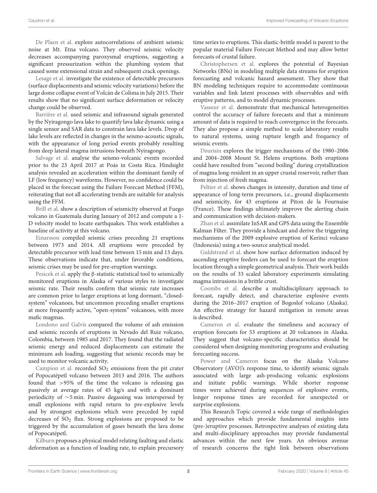[De Plaen et al.](https://doi.org/10.3389/feart.2018.00251) explore autocorrelations of ambient seismic noise at Mt. Etna volcano. They observed seismic velocity decreases accompanying paroxysmal eruptions, suggesting a significant pressurization within the plumbing system that caused some extensional strain and subsequent crack openings.

[Lesage et al.](https://doi.org/10.3389/feart.2018.00093) investigate the existence of detectable precursors (surface displacements and seismic velocity variations) before the large dome collapse event of Volcán de Colima in July 2015. Their results show that no significant surface deformation or velocity change could be observed.

[Barrière et al.](https://doi.org/10.3389/feart.2018.00082) used seismic and infrasound signals generated by the Nyiragongo lava lake to quantify lava lake dynamic using a single sensor and SAR data to constrain lava lake levels. Drop of lake levels are reflected in changes in the seismo-acoustic signals, with the appearance of long period events probably resulting from deep lateral magma intrusions beneath Nyiragongo.

[Salvage et al.](https://doi.org/10.3389/feart.2018.00160) analyse the seismo-volcanic events recorded prior to the 23 April 2017 at Poás in Costa Rica. Hindsight analysis revealed an acceleration within the dominant family of LF (low frequency) waveforms. However, no confidence could be placed in the forecast using the Failure Forecast Method (FFM), reiterating that not all accelerating trends are suitable for analysis using the FFM.

[Brill et al.](https://doi.org/10.3389/feart.2018.00087) show a description of seismicity observed at Fuego volcano in Guatemala during January of 2012 and compute a 1- D velocity model to locate earthquakes. This work establishes a baseline of activity at this volcano.

[Einarsson](https://doi.org/10.3389/feart.2018.00045) compiled seismic crises preceding 21 eruptions between 1973 and 2014. All eruptions were preceded by detectable precursor with lead time between 15 min and 13 days. These observations indicate that, under favorable conditions, seismic crises may be used for pre-eruption warnings.

[Pesicek et al.](https://doi.org/10.3389/feart.2018.00100) apply the β-statistic statistical tool to seismically monitored eruptions in Alaska of various styles to investigate seismic rate. Their results confirm that seismic rate increases are common prior to larger eruptions at long dormant, "closedsystem" volcanoes, but uncommon preceding smaller eruptions at more frequently active, "open-system" volcanoes, with more mafic magmas.

[Londono and Galvis](https://doi.org/10.3389/feart.2018.00162) compared the volume of ash emission and seismic records of eruptions in Nevado del Ruiz volcano, Colombia, between 1985 and 2017. They found that the radiated seismic energy and reduced displacements can estimate the minimum ash loading, suggesting that seismic records may be used to monitor volcanic activity.

[Campion et al.](https://doi.org/10.3389/feart.2018.00163) recorded  $SO_2$  emissions from the pit crater of Popocatépetl volcano between 2013 and 2016. The authors found that >95% of the time the volcano is releasing gas passively at average rates of 45 kg/s and with a dominant periodicity of ∼5 min. Passive degassing was interspersed by small explosions with rapid return to pre-explosive levels and by strongest explosions which were preceded by rapid decreases of  $SO<sub>2</sub>$  flux. Strong explosions are proposed to be triggered by the accumulation of gases beneath the lava dome of Popocatépetl.

[Kilburn](https://doi.org/10.3389/feart.2018.00133) proposes a physical model relating faulting and elastic deformation as a function of loading rate, to explain precursory time series to eruptions. This elastic-brittle model is parent to the popular material Failure Forecast Method and may allow better forecasts of crustal failure.

[Christophersen et al.](https://doi.org/10.3389/feart.2018.00211) explores the potential of Bayesian Networks (BNs) in modeling multiple data streams for eruption forecasting and volcanic hazard assessment. They show that BN modeling techniques require to accommodate continuous variables and link latent processes with observables and with eruptive patterns, and to model dynamic processes.

[Vasseur et al.](https://doi.org/10.3389/feart.2018.00132) demonstrate that mechanical heterogeneities control the accuracy of failure forecasts and that a minimum amount of data is required to reach convergence in the forecasts. They also propose a simple method to scale laboratory results to natural systems, using rupture length and frequency of seismic events.

[Dzurisin](https://doi.org/10.3389/feart.2018.00142) explores the trigger mechanisms of the 1980–2006 and 2004–2008 Mount St. Helens eruptions. Both eruptions could have resulted from "second boiling" during crystallization of magma long-resident in an upper crustal reservoir, rather than from injection of fresh magma.

[Peltier et al.](https://doi.org/10.3389/feart.2018.00104) shows changes in intensity, duration and time of appearance of long-term precursors, i.e., ground displacements and seismicity, for 43 eruptions at Piton de la Fournaise (France). These findings ultimately improve the alerting chain and communication with decision-makers.

[Zhan et al.](https://doi.org/10.3389/feart.2017.00108) assimilate InSAR and GPS data using the Ensemble Kalman Filter. They provide a hindcast and derive the triggering mechanisms of the 2009 explosive eruption of Kerinci volcano (Indonesia) using a two-source analytical model.

[Guldstrand et al.](https://doi.org/10.3389/feart.2018.00007) show how surface deformation induced by ascending eruptive feeders can be used to forecast the eruption location through a simple geometrical analysis. Their work builds on the results of 33 scaled laboratory experiments simulating magma intrusions in a brittle crust.

[Coombs et al.](https://doi.org/10.3389/feart.2018.00122) describe a multidisciplinary approach to forecast, rapidly detect, and characterize explosive events during the 2016–2017 eruption of Bogoslof volcano (Alaska). An effective strategy for hazard mitigation in remote areas is described.

[Cameron et al.](https://doi.org/10.3389/feart.2018.00086) evaluate the timeliness and accuracy of eruption forecasts for 53 eruptions at 20 volcanoes in Alaska. They suggest that volcano-specific characteristics should be considered when designing monitoring programs and evaluating forecasting success.

[Power and Cameron](https://doi.org/10.3389/feart.2018.00072) focus on the Alaska Volcano Observatory (AVO)'s response time, to identify seismic signals associated with large ash-producing volcanic explosions and initiate public warnings. While shorter response times were achieved during sequences of explosive events, longer response times are recorded for unexpected or surprise explosions.

This Research Topic covered a wide range of methodologies and approaches which provide fundamental insights into (pre-)eruptive processes. Retrospective analyses of existing data and multi-disciplinary approaches may provide fundamental advances within the next few years. An obvious avenue of research concerns the tight link between observations